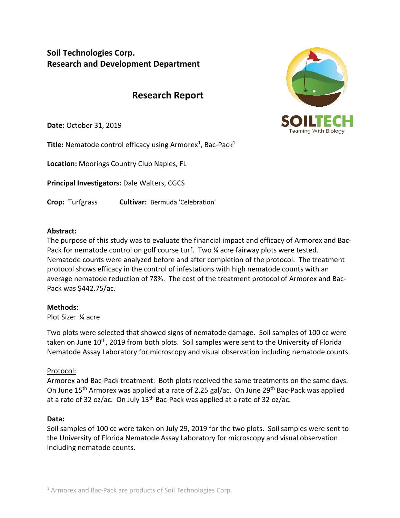# **Soil Technologies Corp. Research and Development Department**

# **Research Report**

**Date:** October 31, 2019

**Title:** Nematode control efficacy using Armorex<sup>1</sup>, Bac-Pack<sup>1</sup>

**Location:** Moorings Country Club Naples, FL

**Principal Investigators:** Dale Walters, CGCS

**Crop:** Turfgrass **Cultivar:** Bermuda 'Celebration'



#### **Abstract:**

The purpose of this study was to evaluate the financial impact and efficacy of Armorex and Bac-Pack for nematode control on golf course turf. Two ¼ acre fairway plots were tested. Nematode counts were analyzed before and after completion of the protocol. The treatment protocol shows efficacy in the control of infestations with high nematode counts with an average nematode reduction of 78%. The cost of the treatment protocol of Armorex and Bac-Pack was \$442.75/ac.

### **Methods:**

Plot Size: ¼ acre

Two plots were selected that showed signs of nematode damage. Soil samples of 100 cc were taken on June 10<sup>th</sup>, 2019 from both plots. Soil samples were sent to the University of Florida Nematode Assay Laboratory for microscopy and visual observation including nematode counts.

### Protocol:

Armorex and Bac-Pack treatment: Both plots received the same treatments on the same days. On June 15<sup>th</sup> Armorex was applied at a rate of 2.25 gal/ac. On June 29<sup>th</sup> Bac-Pack was applied at a rate of 32 oz/ac. On July  $13<sup>th</sup>$  Bac-Pack was applied at a rate of 32 oz/ac.

### **Data:**

Soil samples of 100 cc were taken on July 29, 2019 for the two plots. Soil samples were sent to the University of Florida Nematode Assay Laboratory for microscopy and visual observation including nematode counts.